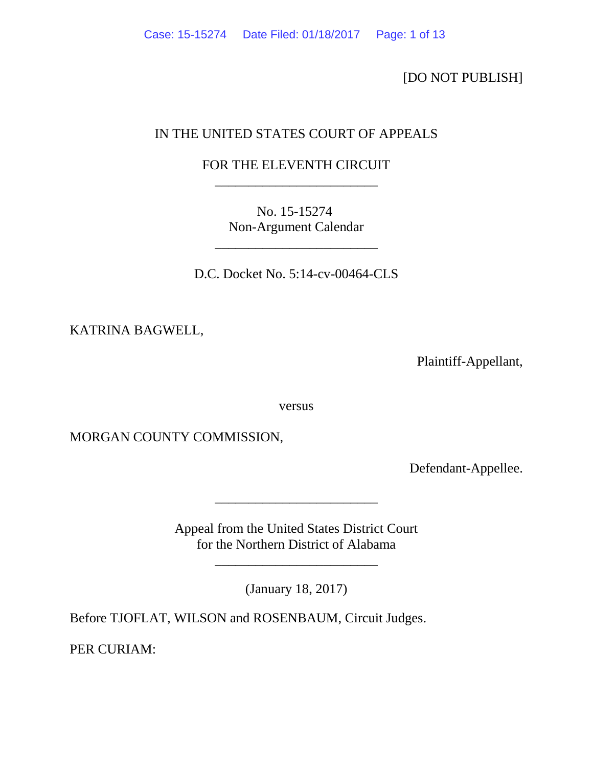[DO NOT PUBLISH]

# IN THE UNITED STATES COURT OF APPEALS

# FOR THE ELEVENTH CIRCUIT \_\_\_\_\_\_\_\_\_\_\_\_\_\_\_\_\_\_\_\_\_\_\_\_

No. 15-15274 Non-Argument Calendar

\_\_\_\_\_\_\_\_\_\_\_\_\_\_\_\_\_\_\_\_\_\_\_\_

D.C. Docket No. 5:14-cv-00464-CLS

KATRINA BAGWELL,

Plaintiff-Appellant,

versus

MORGAN COUNTY COMMISSION,

Defendant-Appellee.

Appeal from the United States District Court for the Northern District of Alabama

\_\_\_\_\_\_\_\_\_\_\_\_\_\_\_\_\_\_\_\_\_\_\_\_

(January 18, 2017)

\_\_\_\_\_\_\_\_\_\_\_\_\_\_\_\_\_\_\_\_\_\_\_\_

Before TJOFLAT, WILSON and ROSENBAUM, Circuit Judges.

PER CURIAM: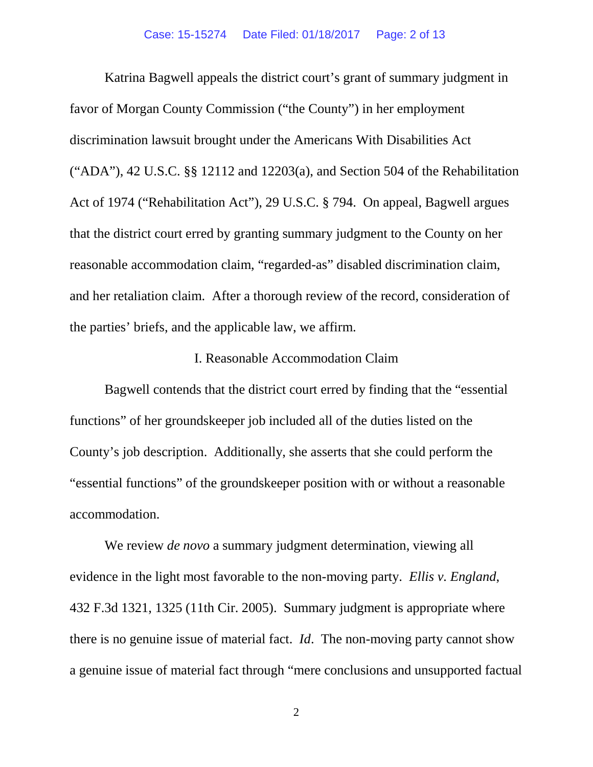Katrina Bagwell appeals the district court's grant of summary judgment in favor of Morgan County Commission ("the County") in her employment discrimination lawsuit brought under the Americans With Disabilities Act ("ADA"), 42 U.S.C. §§ 12112 and 12203(a), and Section 504 of the Rehabilitation Act of 1974 ("Rehabilitation Act"), 29 U.S.C. § 794. On appeal, Bagwell argues that the district court erred by granting summary judgment to the County on her reasonable accommodation claim, "regarded-as" disabled discrimination claim, and her retaliation claim. After a thorough review of the record, consideration of the parties' briefs, and the applicable law, we affirm.

## I. Reasonable Accommodation Claim

Bagwell contends that the district court erred by finding that the "essential functions" of her groundskeeper job included all of the duties listed on the County's job description. Additionally, she asserts that she could perform the "essential functions" of the groundskeeper position with or without a reasonable accommodation.

We review *de novo* a summary judgment determination, viewing all evidence in the light most favorable to the non-moving party. *Ellis v. England*, 432 F.3d 1321, 1325 (11th Cir. 2005). Summary judgment is appropriate where there is no genuine issue of material fact. *Id*. The non-moving party cannot show a genuine issue of material fact through "mere conclusions and unsupported factual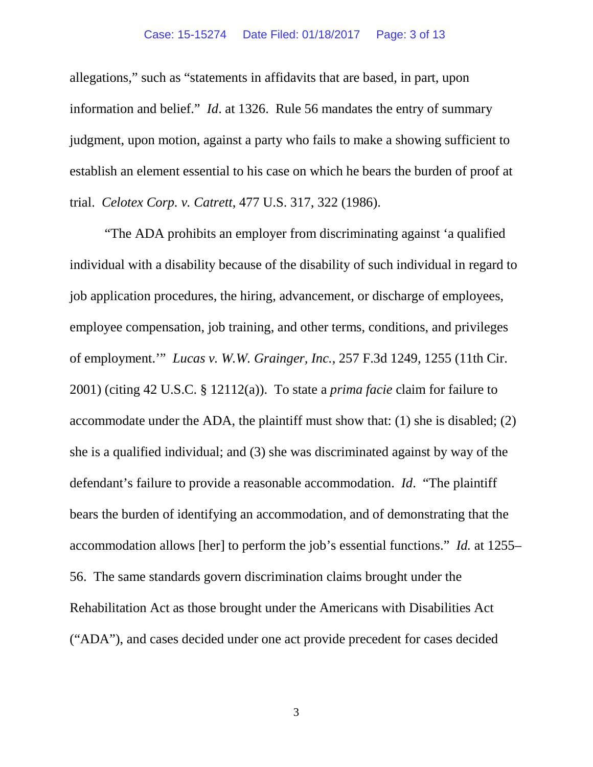allegations," such as "statements in affidavits that are based, in part, upon information and belief." *Id*. at 1326. Rule 56 mandates the entry of summary judgment, upon motion, against a party who fails to make a showing sufficient to establish an element essential to his case on which he bears the burden of proof at trial. *Celotex Corp. v. Catrett*, 477 U.S. 317, 322 (1986).

"The ADA prohibits an employer from discriminating against 'a qualified individual with a disability because of the disability of such individual in regard to job application procedures, the hiring, advancement, or discharge of employees, employee compensation, job training, and other terms, conditions, and privileges of employment.'" *Lucas v. W.W. Grainger, Inc.*, 257 F.3d 1249, 1255 (11th Cir. 2001) (citing 42 U.S.C. § 12112(a)). To state a *prima facie* claim for failure to accommodate under the ADA, the plaintiff must show that: (1) she is disabled; (2) she is a qualified individual; and (3) she was discriminated against by way of the defendant's failure to provide a reasonable accommodation. *Id*. "The plaintiff bears the burden of identifying an accommodation, and of demonstrating that the accommodation allows [her] to perform the job's essential functions." *Id.* at 1255– 56. The same standards govern discrimination claims brought under the Rehabilitation Act as those brought under the Americans with Disabilities Act ("ADA"), and cases decided under one act provide precedent for cases decided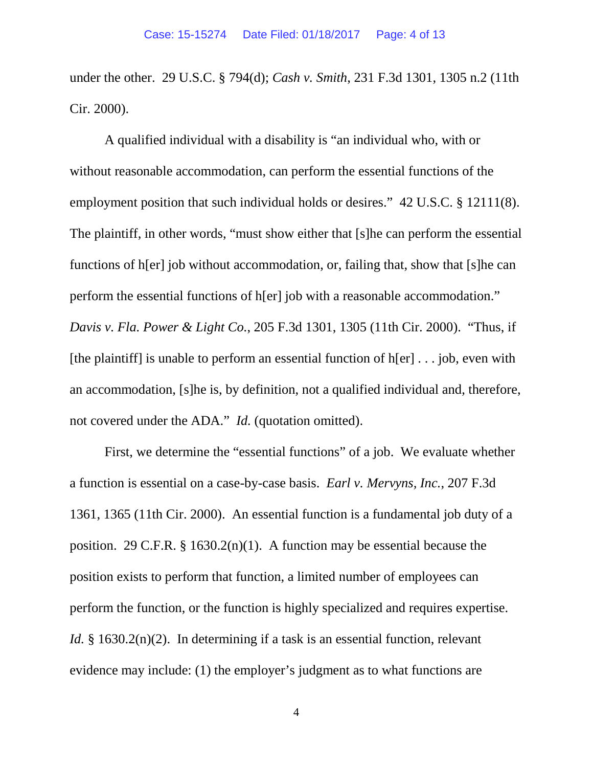under the other. 29 U.S.C. § 794(d); *Cash v. Smith*, 231 F.3d 1301, 1305 n.2 (11th Cir. 2000).

A qualified individual with a disability is "an individual who, with or without reasonable accommodation, can perform the essential functions of the employment position that such individual holds or desires." 42 U.S.C. § 12111(8). The plaintiff, in other words, "must show either that [s]he can perform the essential functions of h[er] job without accommodation, or, failing that, show that [s]he can perform the essential functions of h[er] job with a reasonable accommodation." *Davis v. Fla. Power & Light Co.*, 205 F.3d 1301, 1305 (11th Cir. 2000). "Thus, if [the plaintiff] is unable to perform an essential function of  $h[er] \dots$  job, even with an accommodation, [s]he is, by definition, not a qualified individual and, therefore, not covered under the ADA." *Id.* (quotation omitted).

First, we determine the "essential functions" of a job. We evaluate whether a function is essential on a case-by-case basis. *Earl v. Mervyns, Inc.*, 207 F.3d 1361, 1365 (11th Cir. 2000). An essential function is a fundamental job duty of a position. 29 C.F.R.  $\S$  1630.2(n)(1). A function may be essential because the position exists to perform that function, a limited number of employees can perform the function, or the function is highly specialized and requires expertise. *Id.* § 1630.2(n)(2). In determining if a task is an essential function, relevant evidence may include: (1) the employer's judgment as to what functions are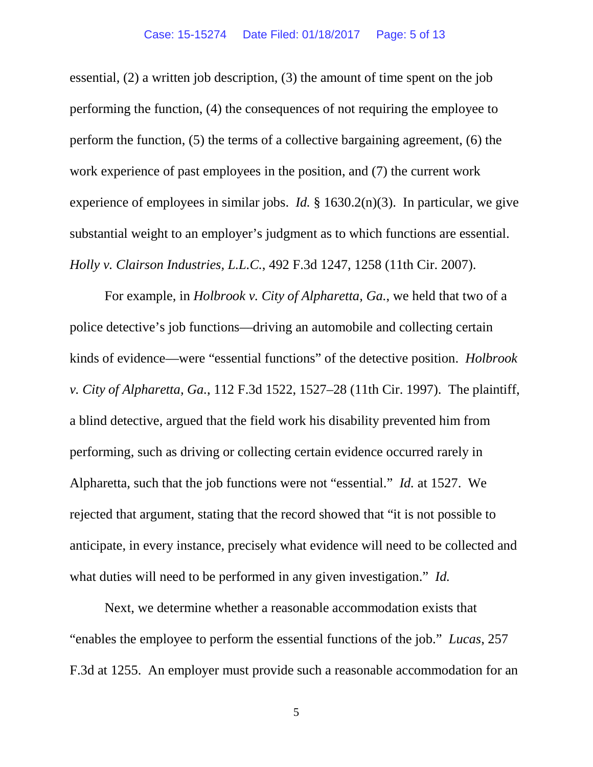essential, (2) a written job description, (3) the amount of time spent on the job performing the function, (4) the consequences of not requiring the employee to perform the function, (5) the terms of a collective bargaining agreement, (6) the work experience of past employees in the position, and (7) the current work experience of employees in similar jobs. *Id.* § 1630.2(n)(3). In particular, we give substantial weight to an employer's judgment as to which functions are essential. *Holly v. Clairson Industries, L.L.C.*, 492 F.3d 1247, 1258 (11th Cir. 2007).

For example, in *Holbrook v. City of Alpharetta, Ga.*, we held that two of a police detective's job functions—driving an automobile and collecting certain kinds of evidence—were "essential functions" of the detective position. *Holbrook v. City of Alpharetta, Ga.*, 112 F.3d 1522, 1527–28 (11th Cir. 1997). The plaintiff, a blind detective, argued that the field work his disability prevented him from performing, such as driving or collecting certain evidence occurred rarely in Alpharetta, such that the job functions were not "essential." *Id.* at 1527. We rejected that argument, stating that the record showed that "it is not possible to anticipate, in every instance, precisely what evidence will need to be collected and what duties will need to be performed in any given investigation." *Id.*

Next, we determine whether a reasonable accommodation exists that "enables the employee to perform the essential functions of the job." *Lucas*, 257 F.3d at 1255. An employer must provide such a reasonable accommodation for an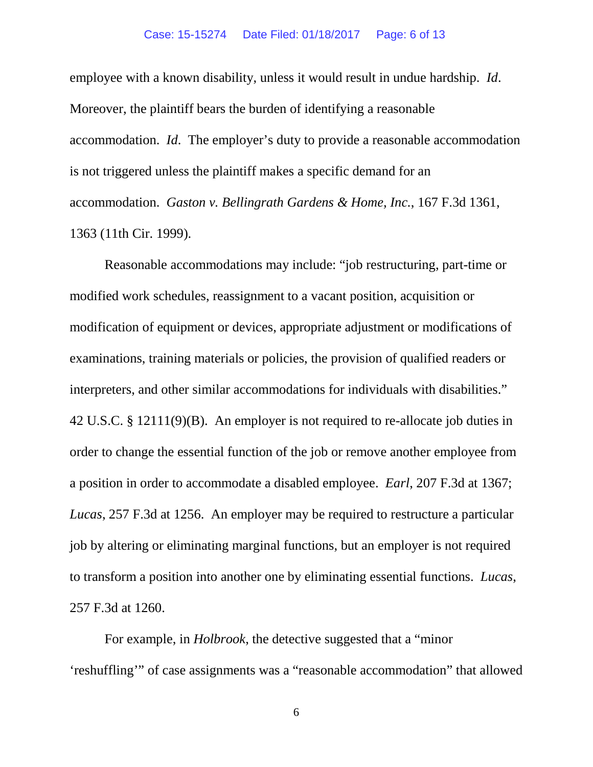employee with a known disability, unless it would result in undue hardship. *Id*. Moreover, the plaintiff bears the burden of identifying a reasonable accommodation. *Id*. The employer's duty to provide a reasonable accommodation is not triggered unless the plaintiff makes a specific demand for an accommodation. *Gaston v. Bellingrath Gardens & Home, Inc.*, 167 F.3d 1361, 1363 (11th Cir. 1999).

Reasonable accommodations may include: "job restructuring, part-time or modified work schedules, reassignment to a vacant position, acquisition or modification of equipment or devices, appropriate adjustment or modifications of examinations, training materials or policies, the provision of qualified readers or interpreters, and other similar accommodations for individuals with disabilities." 42 U.S.C. § 12111(9)(B). An employer is not required to re-allocate job duties in order to change the essential function of the job or remove another employee from a position in order to accommodate a disabled employee. *Earl*, 207 F.3d at 1367; *Lucas*, 257 F.3d at 1256. An employer may be required to restructure a particular job by altering or eliminating marginal functions, but an employer is not required to transform a position into another one by eliminating essential functions. *Lucas*, 257 F.3d at 1260.

For example, in *Holbrook*, the detective suggested that a "minor 'reshuffling'" of case assignments was a "reasonable accommodation" that allowed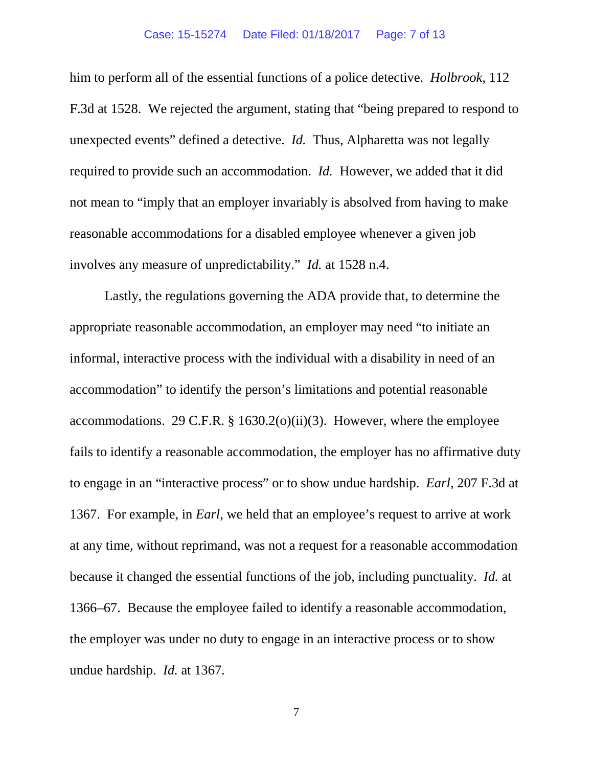him to perform all of the essential functions of a police detective. *Holbrook*, 112 F.3d at 1528. We rejected the argument, stating that "being prepared to respond to unexpected events" defined a detective. *Id.* Thus, Alpharetta was not legally required to provide such an accommodation. *Id.* However, we added that it did not mean to "imply that an employer invariably is absolved from having to make reasonable accommodations for a disabled employee whenever a given job involves any measure of unpredictability." *Id.* at 1528 n.4.

Lastly, the regulations governing the ADA provide that, to determine the appropriate reasonable accommodation, an employer may need "to initiate an informal, interactive process with the individual with a disability in need of an accommodation" to identify the person's limitations and potential reasonable accommodations. 29 C.F.R.  $\S$  1630.2(o)(ii)(3). However, where the employee fails to identify a reasonable accommodation, the employer has no affirmative duty to engage in an "interactive process" or to show undue hardship. *Earl*, 207 F.3d at 1367. For example, in *Earl*, we held that an employee's request to arrive at work at any time, without reprimand, was not a request for a reasonable accommodation because it changed the essential functions of the job, including punctuality. *Id.* at 1366–67. Because the employee failed to identify a reasonable accommodation, the employer was under no duty to engage in an interactive process or to show undue hardship. *Id.* at 1367.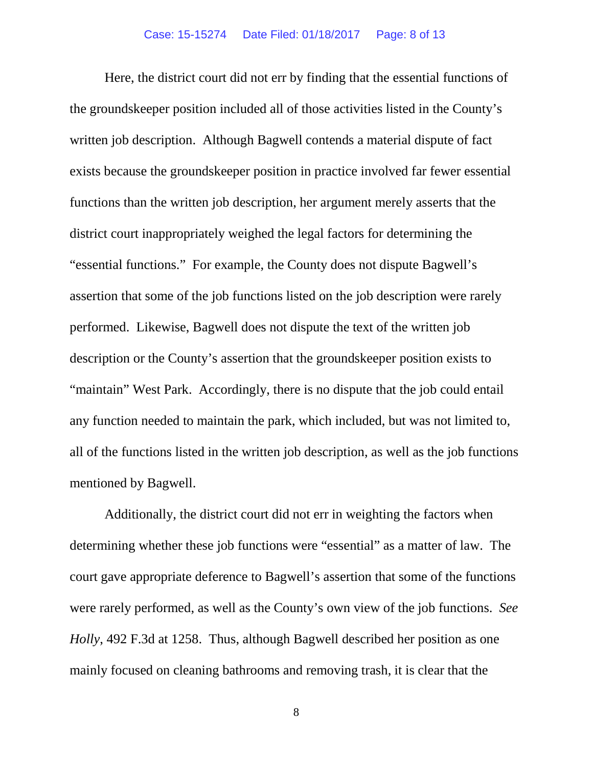Here, the district court did not err by finding that the essential functions of the groundskeeper position included all of those activities listed in the County's written job description. Although Bagwell contends a material dispute of fact exists because the groundskeeper position in practice involved far fewer essential functions than the written job description, her argument merely asserts that the district court inappropriately weighed the legal factors for determining the "essential functions." For example, the County does not dispute Bagwell's assertion that some of the job functions listed on the job description were rarely performed. Likewise, Bagwell does not dispute the text of the written job description or the County's assertion that the groundskeeper position exists to "maintain" West Park. Accordingly, there is no dispute that the job could entail any function needed to maintain the park, which included, but was not limited to, all of the functions listed in the written job description, as well as the job functions mentioned by Bagwell.

Additionally, the district court did not err in weighting the factors when determining whether these job functions were "essential" as a matter of law. The court gave appropriate deference to Bagwell's assertion that some of the functions were rarely performed, as well as the County's own view of the job functions. *See Holly*, 492 F.3d at 1258. Thus, although Bagwell described her position as one mainly focused on cleaning bathrooms and removing trash, it is clear that the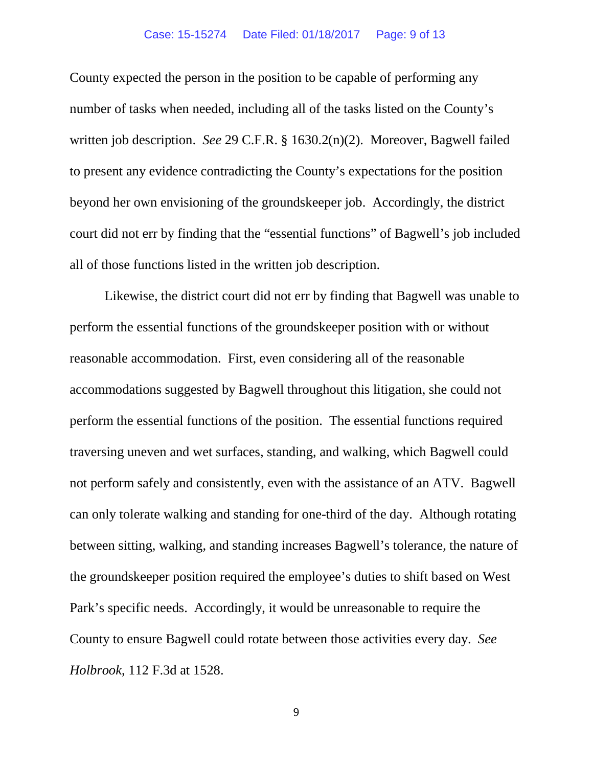### Case: 15-15274 Date Filed: 01/18/2017 Page: 9 of 13

County expected the person in the position to be capable of performing any number of tasks when needed, including all of the tasks listed on the County's written job description. *See* 29 C.F.R. § 1630.2(n)(2). Moreover, Bagwell failed to present any evidence contradicting the County's expectations for the position beyond her own envisioning of the groundskeeper job. Accordingly, the district court did not err by finding that the "essential functions" of Bagwell's job included all of those functions listed in the written job description.

Likewise, the district court did not err by finding that Bagwell was unable to perform the essential functions of the groundskeeper position with or without reasonable accommodation. First, even considering all of the reasonable accommodations suggested by Bagwell throughout this litigation, she could not perform the essential functions of the position. The essential functions required traversing uneven and wet surfaces, standing, and walking, which Bagwell could not perform safely and consistently, even with the assistance of an ATV. Bagwell can only tolerate walking and standing for one-third of the day. Although rotating between sitting, walking, and standing increases Bagwell's tolerance, the nature of the groundskeeper position required the employee's duties to shift based on West Park's specific needs. Accordingly, it would be unreasonable to require the County to ensure Bagwell could rotate between those activities every day. *See Holbrook*, 112 F.3d at 1528.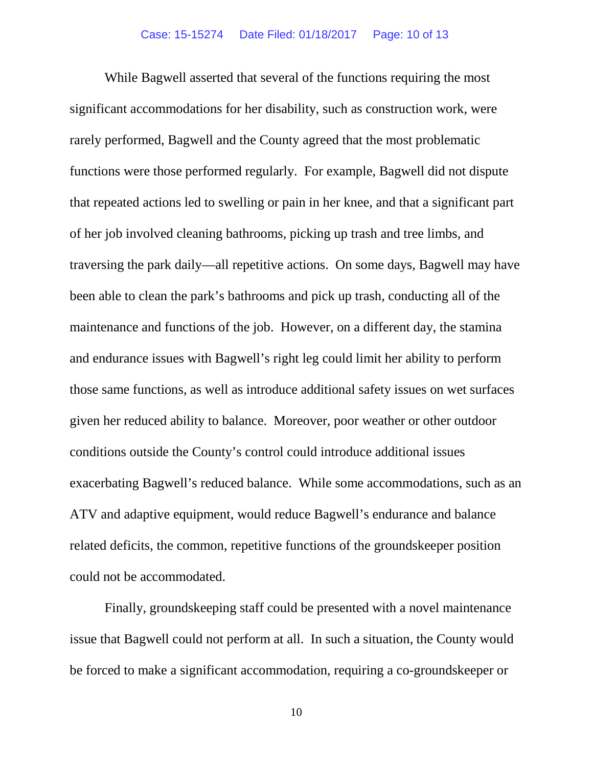While Bagwell asserted that several of the functions requiring the most significant accommodations for her disability, such as construction work, were rarely performed, Bagwell and the County agreed that the most problematic functions were those performed regularly. For example, Bagwell did not dispute that repeated actions led to swelling or pain in her knee, and that a significant part of her job involved cleaning bathrooms, picking up trash and tree limbs, and traversing the park daily—all repetitive actions. On some days, Bagwell may have been able to clean the park's bathrooms and pick up trash, conducting all of the maintenance and functions of the job. However, on a different day, the stamina and endurance issues with Bagwell's right leg could limit her ability to perform those same functions, as well as introduce additional safety issues on wet surfaces given her reduced ability to balance. Moreover, poor weather or other outdoor conditions outside the County's control could introduce additional issues exacerbating Bagwell's reduced balance. While some accommodations, such as an ATV and adaptive equipment, would reduce Bagwell's endurance and balance related deficits, the common, repetitive functions of the groundskeeper position could not be accommodated.

Finally, groundskeeping staff could be presented with a novel maintenance issue that Bagwell could not perform at all. In such a situation, the County would be forced to make a significant accommodation, requiring a co-groundskeeper or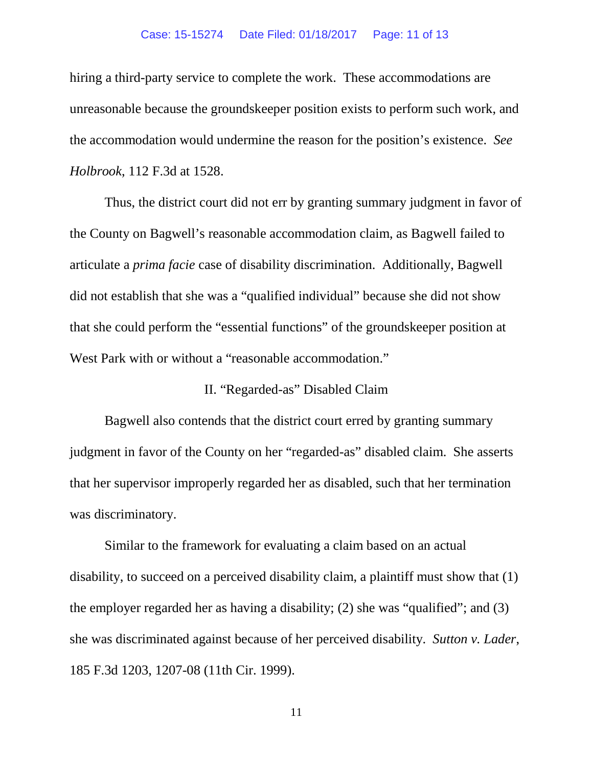#### Case: 15-15274 Date Filed: 01/18/2017 Page: 11 of 13

hiring a third-party service to complete the work. These accommodations are unreasonable because the groundskeeper position exists to perform such work, and the accommodation would undermine the reason for the position's existence. *See Holbrook*, 112 F.3d at 1528.

Thus, the district court did not err by granting summary judgment in favor of the County on Bagwell's reasonable accommodation claim, as Bagwell failed to articulate a *prima facie* case of disability discrimination. Additionally, Bagwell did not establish that she was a "qualified individual" because she did not show that she could perform the "essential functions" of the groundskeeper position at West Park with or without a "reasonable accommodation."

## II. "Regarded-as" Disabled Claim

Bagwell also contends that the district court erred by granting summary judgment in favor of the County on her "regarded-as" disabled claim. She asserts that her supervisor improperly regarded her as disabled, such that her termination was discriminatory.

Similar to the framework for evaluating a claim based on an actual disability, to succeed on a perceived disability claim, a plaintiff must show that (1) the employer regarded her as having a disability; (2) she was "qualified"; and (3) she was discriminated against because of her perceived disability. *Sutton v. Lader*, 185 F.3d 1203, 1207-08 (11th Cir. 1999).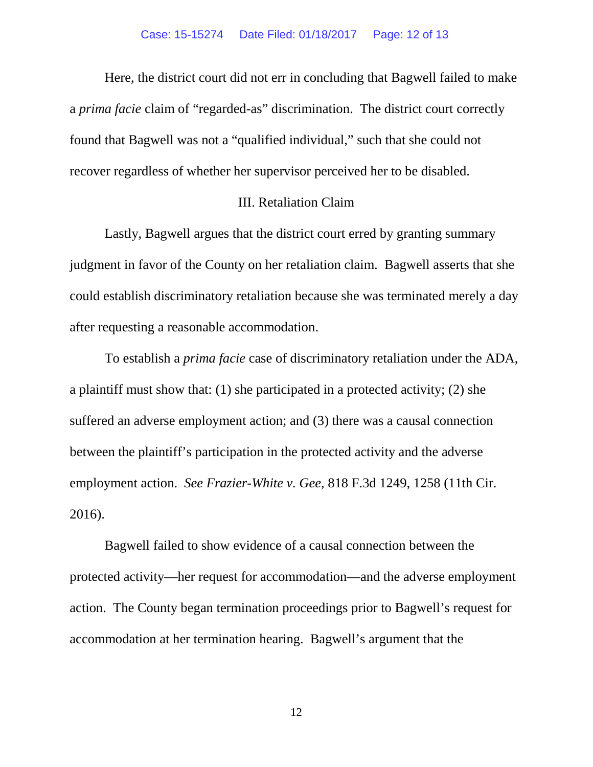Here, the district court did not err in concluding that Bagwell failed to make a *prima facie* claim of "regarded-as" discrimination. The district court correctly found that Bagwell was not a "qualified individual," such that she could not recover regardless of whether her supervisor perceived her to be disabled.

## III. Retaliation Claim

Lastly, Bagwell argues that the district court erred by granting summary judgment in favor of the County on her retaliation claim. Bagwell asserts that she could establish discriminatory retaliation because she was terminated merely a day after requesting a reasonable accommodation.

To establish a *prima facie* case of discriminatory retaliation under the ADA, a plaintiff must show that: (1) she participated in a protected activity; (2) she suffered an adverse employment action; and (3) there was a causal connection between the plaintiff's participation in the protected activity and the adverse employment action. *See Frazier-White v. Gee*, 818 F.3d 1249, 1258 (11th Cir. 2016).

Bagwell failed to show evidence of a causal connection between the protected activity—her request for accommodation—and the adverse employment action. The County began termination proceedings prior to Bagwell's request for accommodation at her termination hearing. Bagwell's argument that the